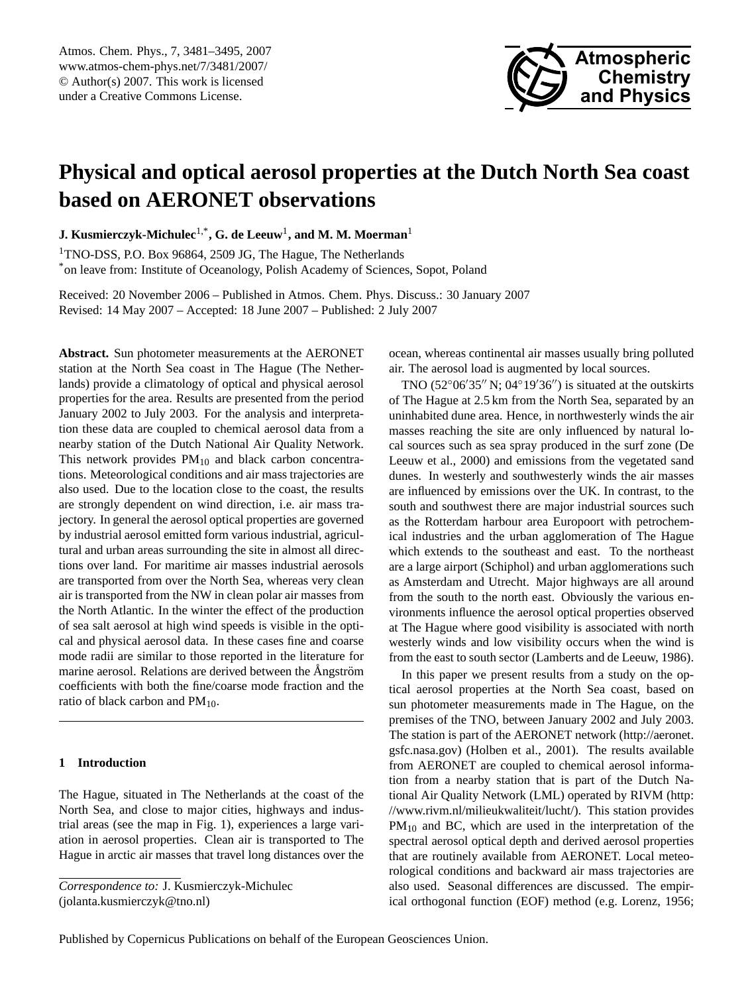<span id="page-0-0"></span>Atmos. Chem. Phys., 7, 3481–3495, 2007 www.atmos-chem-phys.net/7/3481/2007/ © Author(s) 2007. This work is licensed under a Creative Commons License.



# **Physical and optical aerosol properties at the Dutch North Sea coast based on AERONET observations**

**J. Kusmierczyk-Michulec**1,\***, G. de Leeuw**<sup>1</sup> **, and M. M. Moerman**<sup>1</sup>

<sup>1</sup>TNO-DSS, P.O. Box 96864, 2509 JG, The Hague, The Netherlands \*on leave from: Institute of Oceanology, Polish Academy of Sciences, Sopot, Poland

Received: 20 November 2006 – Published in Atmos. Chem. Phys. Discuss.: 30 January 2007 Revised: 14 May 2007 – Accepted: 18 June 2007 – Published: 2 July 2007

**Abstract.** Sun photometer measurements at the AERONET station at the North Sea coast in The Hague (The Netherlands) provide a climatology of optical and physical aerosol properties for the area. Results are presented from the period January 2002 to July 2003. For the analysis and interpretation these data are coupled to chemical aerosol data from a nearby station of the Dutch National Air Quality Network. This network provides  $PM_{10}$  and black carbon concentrations. Meteorological conditions and air mass trajectories are also used. Due to the location close to the coast, the results are strongly dependent on wind direction, i.e. air mass trajectory. In general the aerosol optical properties are governed by industrial aerosol emitted form various industrial, agricultural and urban areas surrounding the site in almost all directions over land. For maritime air masses industrial aerosols are transported from over the North Sea, whereas very clean air is transported from the NW in clean polar air masses from the North Atlantic. In the winter the effect of the production of sea salt aerosol at high wind speeds is visible in the optical and physical aerosol data. In these cases fine and coarse mode radii are similar to those reported in the literature for marine aerosol. Relations are derived between the Angström coefficients with both the fine/coarse mode fraction and the ratio of black carbon and  $PM_{10}$ .

# **1 Introduction**

The Hague, situated in The Netherlands at the coast of the North Sea, and close to major cities, highways and industrial areas (see the map in Fig. 1), experiences a large variation in aerosol properties. Clean air is transported to The Hague in arctic air masses that travel long distances over the ocean, whereas continental air masses usually bring polluted air. The aerosol load is augmented by local sources.

TNO  $(52^{\circ}06'35''$  N; 04°19'36") is situated at the outskirts of The Hague at 2.5 km from the North Sea, separated by an uninhabited dune area. Hence, in northwesterly winds the air masses reaching the site are only influenced by natural local sources such as sea spray produced in the surf zone (De Leeuw et al., 2000) and emissions from the vegetated sand dunes. In westerly and southwesterly winds the air masses are influenced by emissions over the UK. In contrast, to the south and southwest there are major industrial sources such as the Rotterdam harbour area Europoort with petrochemical industries and the urban agglomeration of The Hague which extends to the southeast and east. To the northeast are a large airport (Schiphol) and urban agglomerations such as Amsterdam and Utrecht. Major highways are all around from the south to the north east. Obviously the various environments influence the aerosol optical properties observed at The Hague where good visibility is associated with north westerly winds and low visibility occurs when the wind is from the east to south sector (Lamberts and de Leeuw, 1986).

In this paper we present results from a study on the optical aerosol properties at the North Sea coast, based on sun photometer measurements made in The Hague, on the premises of the TNO, between January 2002 and July 2003. The station is part of the AERONET network [\(http://aeronet.](http://aeronet.gsfc.nasa.gov) [gsfc.nasa.gov\)](http://aeronet.gsfc.nasa.gov) (Holben et al., 2001). The results available from AERONET are coupled to chemical aerosol information from a nearby station that is part of the Dutch National Air Quality Network (LML) operated by RIVM [\(http:](http://www.rivm.nl/milieukwaliteit/lucht/) [//www.rivm.nl/milieukwaliteit/lucht/\)](http://www.rivm.nl/milieukwaliteit/lucht/). This station provides  $PM_{10}$  and BC, which are used in the interpretation of the spectral aerosol optical depth and derived aerosol properties that are routinely available from AERONET. Local meteorological conditions and backward air mass trajectories are also used. Seasonal differences are discussed. The empirical orthogonal function (EOF) method (e.g. Lorenz, 1956;

*Correspondence to:* J. Kusmierczyk-Michulec (jolanta.kusmierczyk@tno.nl)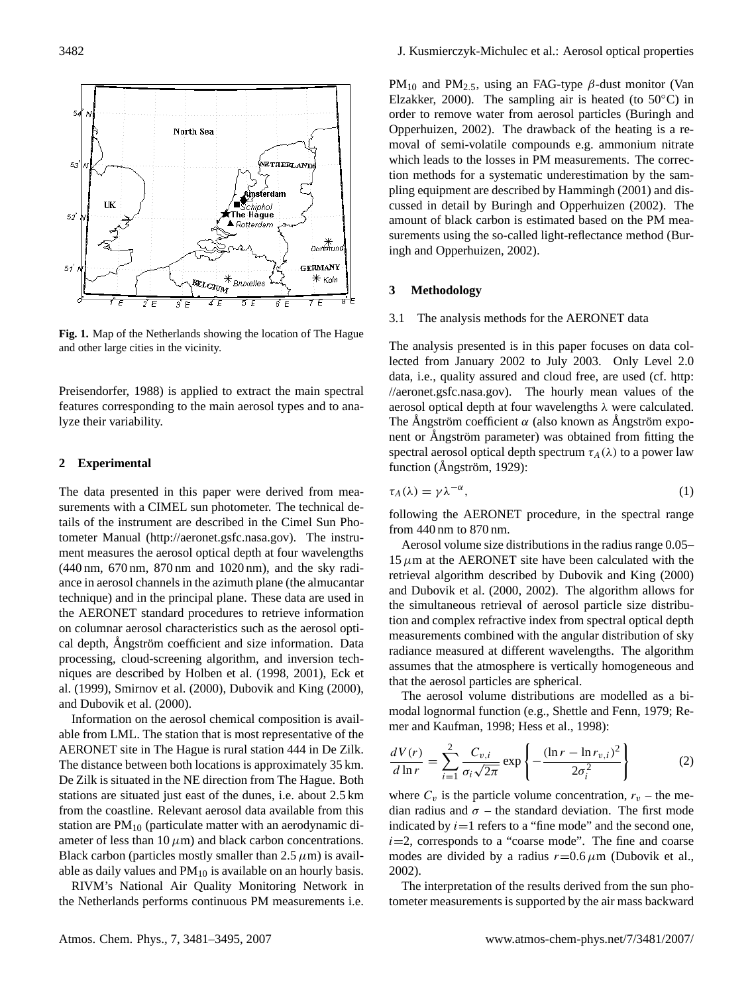

**Fig. 1.** Map of the Netherlands showing the location of The Hague and other large cities in the vicinity.

Preisendorfer, 1988) is applied to extract the main spectral features corresponding to the main aerosol types and to analyze their variability.

# **2 Experimental**

The data presented in this paper were derived from measurements with a CIMEL sun photometer. The technical details of the instrument are described in the Cimel Sun Photometer Manual [\(http://aeronet.gsfc.nasa.gov\)](http://aeronet.gsfc.nasa.gov). The instrument measures the aerosol optical depth at four wavelengths (440 nm, 670 nm, 870 nm and 1020 nm), and the sky radiance in aerosol channels in the azimuth plane (the almucantar technique) and in the principal plane. These data are used in the AERONET standard procedures to retrieve information on columnar aerosol characteristics such as the aerosol optical depth, Ångström coefficient and size information. Data processing, cloud-screening algorithm, and inversion techniques are described by Holben et al. (1998, 2001), Eck et al. (1999), Smirnov et al. (2000), Dubovik and King (2000), and Dubovik et al. (2000).

Information on the aerosol chemical composition is available from LML. The station that is most representative of the AERONET site in The Hague is rural station 444 in De Zilk. The distance between both locations is approximately 35 km. De Zilk is situated in the NE direction from The Hague. Both stations are situated just east of the dunes, i.e. about 2.5 km from the coastline. Relevant aerosol data available from this station are  $PM_{10}$  (particulate matter with an aerodynamic diameter of less than 10  $\mu$ m) and black carbon concentrations. Black carbon (particles mostly smaller than  $2.5 \mu m$ ) is available as daily values and  $PM_{10}$  is available on an hourly basis.

RIVM's National Air Quality Monitoring Network in the Netherlands performs continuous PM measurements i.e. PM<sub>10</sub> and PM<sub>2.5</sub>, using an FAG-type  $\beta$ -dust monitor (Van Elzakker, 2000). The sampling air is heated (to  $50^{\circ}$ C) in order to remove water from aerosol particles (Buringh and Opperhuizen, 2002). The drawback of the heating is a removal of semi-volatile compounds e.g. ammonium nitrate which leads to the losses in PM measurements. The correction methods for a systematic underestimation by the sampling equipment are described by Hammingh (2001) and discussed in detail by Buringh and Opperhuizen (2002). The amount of black carbon is estimated based on the PM measurements using the so-called light-reflectance method (Buringh and Opperhuizen, 2002).

#### **3 Methodology**

#### 3.1 The analysis methods for the AERONET data

The analysis presented is in this paper focuses on data collected from January 2002 to July 2003. Only Level 2.0 data, i.e., quality assured and cloud free, are used (cf. [http:](http://aeronet.gsfc.nasa.gov) [//aeronet.gsfc.nasa.gov\)](http://aeronet.gsfc.nasa.gov). The hourly mean values of the aerosol optical depth at four wavelengths λ were calculated. The Angström coefficient  $\alpha$  (also known as Angström exponent or Ångström parameter) was obtained from fitting the spectral aerosol optical depth spectrum  $\tau_A(\lambda)$  to a power law function ( $\text{Angström}$ , 1929):

$$
\tau_A(\lambda) = \gamma \lambda^{-\alpha},\tag{1}
$$

following the AERONET procedure, in the spectral range from 440 nm to 870 nm.

Aerosol volume size distributions in the radius range 0.05–  $15 \mu m$  at the AERONET site have been calculated with the retrieval algorithm described by Dubovik and King (2000) and Dubovik et al. (2000, 2002). The algorithm allows for the simultaneous retrieval of aerosol particle size distribution and complex refractive index from spectral optical depth measurements combined with the angular distribution of sky radiance measured at different wavelengths. The algorithm assumes that the atmosphere is vertically homogeneous and that the aerosol particles are spherical.

The aerosol volume distributions are modelled as a bimodal lognormal function (e.g., Shettle and Fenn, 1979; Remer and Kaufman, 1998; Hess et al., 1998):

$$
\frac{dV(r)}{d\ln r} = \sum_{i=1}^{2} \frac{C_{v,i}}{\sigma_i \sqrt{2\pi}} \exp\left\{-\frac{(\ln r - \ln r_{v,i})^2}{2\sigma_i^2}\right\} \tag{2}
$$

where  $C_v$  is the particle volume concentration,  $r_v$  – the median radius and  $\sigma$  – the standard deviation. The first mode indicated by  $i=1$  refers to a "fine mode" and the second one,  $i=2$ , corresponds to a "coarse mode". The fine and coarse modes are divided by a radius  $r=0.6 \mu m$  (Dubovik et al., 2002).

The interpretation of the results derived from the sun photometer measurements is supported by the air mass backward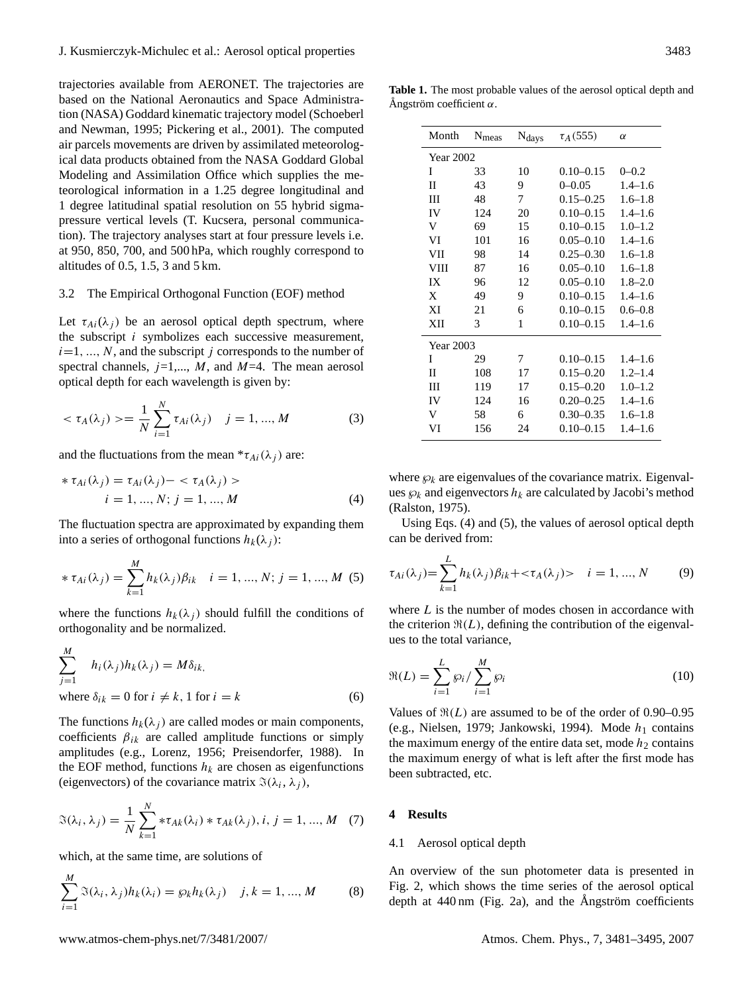trajectories available from AERONET. The trajectories are based on the National Aeronautics and Space Administration (NASA) Goddard kinematic trajectory model (Schoeberl and Newman, 1995; Pickering et al., 2001). The computed air parcels movements are driven by assimilated meteorological data products obtained from the NASA Goddard Global Modeling and Assimilation Office which supplies the meteorological information in a 1.25 degree longitudinal and 1 degree latitudinal spatial resolution on 55 hybrid sigmapressure vertical levels (T. Kucsera, personal communication). The trajectory analyses start at four pressure levels i.e. at 950, 850, 700, and 500 hPa, which roughly correspond to altitudes of 0.5, 1.5, 3 and 5 km.

#### 3.2 The Empirical Orthogonal Function (EOF) method

Let  $\tau_{Ai}(\lambda_i)$  be an aerosol optical depth spectrum, where the subscript i symbolizes each successive measurement,  $i=1, ..., N$ , and the subscript j corresponds to the number of spectral channels,  $j=1,..., M$ , and  $M=4$ . The mean aerosol optical depth for each wavelength is given by:

$$
\langle \tau_A(\lambda_j) \rangle = \frac{1}{N} \sum_{i=1}^{N} \tau_{Ai}(\lambda_j) \quad j = 1, ..., M \tag{3}
$$

and the fluctuations from the mean  ${}^*\tau_{Ai}(\lambda_i)$  are:

$$
\begin{aligned} * \tau_{Ai}(\lambda_j) &= \tau_{Ai}(\lambda_j) - \langle \tau_A(\lambda_j) \rangle \\ i &= 1, \dots, N; \ j = 1, \dots, M \end{aligned} \tag{4}
$$

The fluctuation spectra are approximated by expanding them into a series of orthogonal functions  $h_k(\lambda_i)$ :

$$
* \tau_{Ai}(\lambda_j) = \sum_{k=1}^{M} h_k(\lambda_j) \beta_{ik} \quad i = 1, ..., N; j = 1, ..., M \text{ (5)}
$$

where the functions  $h_k(\lambda_i)$  should fulfill the conditions of orthogonality and be normalized.

$$
\sum_{j=1}^{M} h_i(\lambda_j) h_k(\lambda_j) = M \delta_{ik},
$$
  
where  $\delta_{ik} = 0$  for  $i \neq k, 1$  for  $i = k$  (6)

The functions  $h_k(\lambda_j)$  are called modes or main components, coefficients  $\beta_{ik}$  are called amplitude functions or simply amplitudes (e.g., Lorenz, 1956; Preisendorfer, 1988). In the EOF method, functions  $h_k$  are chosen as eigenfunctions (eigenvectors) of the covariance matrix  $\Im(\lambda_i, \lambda_j)$ ,

$$
\mathfrak{A}(\lambda_i, \lambda_j) = \frac{1}{N} \sum_{k=1}^N * \tau_{Ak}(\lambda_i) * \tau_{Ak}(\lambda_j), i, j = 1, ..., M \quad (7)
$$

which, at the same time, are solutions of

$$
\sum_{i=1}^{M} \Im(\lambda_i, \lambda_j) h_k(\lambda_i) = \wp_k h_k(\lambda_j) \quad j, k = 1, ..., M \quad (8)
$$

**Table 1.** The most probable values of the aerosol optical depth and Ångström coefficient α.

| Month            | N <sub>meas</sub> | N <sub>days</sub> | $\tau_A(555)$ | $\alpha$    |  |  |  |
|------------------|-------------------|-------------------|---------------|-------------|--|--|--|
| <b>Year 2002</b> |                   |                   |               |             |  |  |  |
| I                | 33                | 10                | $0.10 - 0.15$ | $0 - 0.2$   |  |  |  |
| П                | 43                | 9                 | $0 - 0.05$    | $1.4 - 1.6$ |  |  |  |
| Ш                | 48                | 7                 | $0.15 - 0.25$ | $1.6 - 1.8$ |  |  |  |
| IV               | 124               | 20                | $0.10 - 0.15$ | $1.4 - 1.6$ |  |  |  |
| V                | 69                | 15                | $0.10 - 0.15$ | $1.0 - 1.2$ |  |  |  |
| VI               | 101               | 16                | $0.05 - 0.10$ | $1.4 - 1.6$ |  |  |  |
| VII              | 98                | 14                | $0.25 - 0.30$ | $1.6 - 1.8$ |  |  |  |
| <b>VIII</b>      | 87                | 16                | $0.05 - 0.10$ | $1.6 - 1.8$ |  |  |  |
| IX               | 96                | 12                | $0.05 - 0.10$ | $1.8 - 2.0$ |  |  |  |
| X                | 49                | 9                 | $0.10 - 0.15$ | $1.4 - 1.6$ |  |  |  |
| XI               | 21                | 6                 | $0.10 - 0.15$ | $0.6 - 0.8$ |  |  |  |
| XII              | 3                 | 1                 | $0.10 - 0.15$ | $1.4 - 1.6$ |  |  |  |
| Year 2003        |                   |                   |               |             |  |  |  |
| I                | 29                | 7                 | $0.10 - 0.15$ | $1.4 - 1.6$ |  |  |  |
| H                | 108               | 17                | $0.15 - 0.20$ | $1.2 - 1.4$ |  |  |  |
| Ш                | 119               | 17                | $0.15 - 0.20$ | $1.0 - 1.2$ |  |  |  |
| IV               | 124               | 16                | $0.20 - 0.25$ | $1.4 - 1.6$ |  |  |  |
| V                | 58                | 6                 | $0.30 - 0.35$ | $1.6 - 1.8$ |  |  |  |
| VI               | 156               | 24                | $0.10 - 0.15$ | $1.4 - 1.6$ |  |  |  |

where  $\wp_k$  are eigenvalues of the covariance matrix. Eigenvalues  $\wp_k$  and eigenvectors  $h_k$  are calculated by Jacobi's method (Ralston, 1975).

Using Eqs. (4) and (5), the values of aerosol optical depth can be derived from:

$$
\tau_{Ai}(\lambda_j) = \sum_{k=1}^{L} h_k(\lambda_j) \beta_{ik} + \langle \tau_A(\lambda_j) \rangle \quad i = 1, ..., N \tag{9}
$$

where  $L$  is the number of modes chosen in accordance with the criterion  $\Re(L)$ , defining the contribution of the eigenvalues to the total variance,

$$
\Re(L) = \sum_{i=1}^{L} \wp_i / \sum_{i=1}^{M} \wp_i \tag{10}
$$

Values of  $\Re(L)$  are assumed to be of the order of 0.90–0.95 (e.g., Nielsen, 1979; Jankowski, 1994). Mode  $h_1$  contains the maximum energy of the entire data set, mode  $h_2$  contains the maximum energy of what is left after the first mode has been subtracted, etc.

#### **4 Results**

## 4.1 Aerosol optical depth

An overview of the sun photometer data is presented in Fig. 2, which shows the time series of the aerosol optical depth at  $440 \text{ nm}$  (Fig. 2a), and the Angström coefficients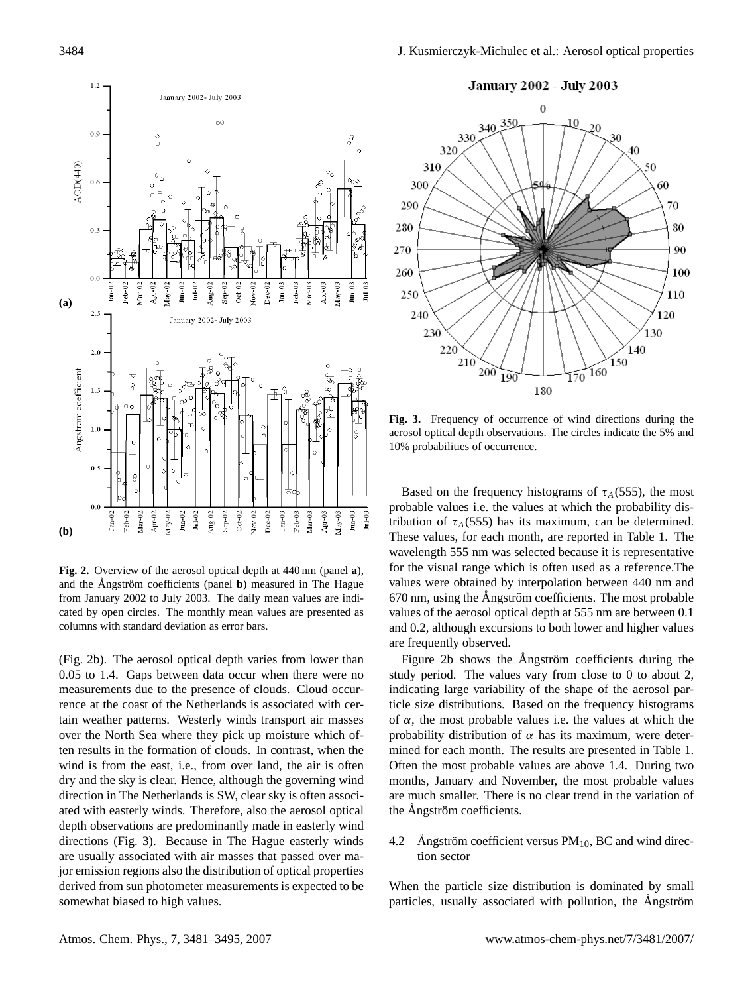

**Fig. 2.** Overview of the aerosol optical depth at 440 nm (panel **a**), and the Ångström coefficients (panel **b**) measured in The Hague from January 2002 to July 2003. The daily mean values are indicated by open circles. The monthly mean values are presented as columns with standard deviation as error bars.

(Fig. 2b). The aerosol optical depth varies from lower than 0.05 to 1.4. Gaps between data occur when there were no measurements due to the presence of clouds. Cloud occurrence at the coast of the Netherlands is associated with certain weather patterns. Westerly winds transport air masses over the North Sea where they pick up moisture which often results in the formation of clouds. In contrast, when the wind is from the east, i.e., from over land, the air is often dry and the sky is clear. Hence, although the governing wind direction in The Netherlands is SW, clear sky is often associated with easterly winds. Therefore, also the aerosol optical depth observations are predominantly made in easterly wind directions (Fig. 3). Because in The Hague easterly winds are usually associated with air masses that passed over major emission regions also the distribution of optical properties derived from sun photometer measurements is expected to be somewhat biased to high values.



**Fig. 3.** Frequency of occurrence of wind directions during the aerosol optical depth observations. The circles indicate the 5% and 10% probabilities of occurrence.

Based on the frequency histograms of  $\tau_A(555)$ , the most probable values i.e. the values at which the probability distribution of  $\tau_A(555)$  has its maximum, can be determined. These values, for each month, are reported in Table 1. The wavelength 555 nm was selected because it is representative for the visual range which is often used as a reference.The values were obtained by interpolation between 440 nm and  $670$  nm, using the Ångström coefficients. The most probable values of the aerosol optical depth at 555 nm are between 0.1 and 0.2, although excursions to both lower and higher values are frequently observed.

Figure 2b shows the Angström coefficients during the study period. The values vary from close to 0 to about 2, indicating large variability of the shape of the aerosol particle size distributions. Based on the frequency histograms of  $\alpha$ , the most probable values i.e. the values at which the probability distribution of  $\alpha$  has its maximum, were determined for each month. The results are presented in Table 1. Often the most probable values are above 1.4. During two months, January and November, the most probable values are much smaller. There is no clear trend in the variation of the Ångström coefficients.

4.2 Angström coefficient versus  $PM_{10}$ , BC and wind direction sector

When the particle size distribution is dominated by small particles, usually associated with pollution, the Ångström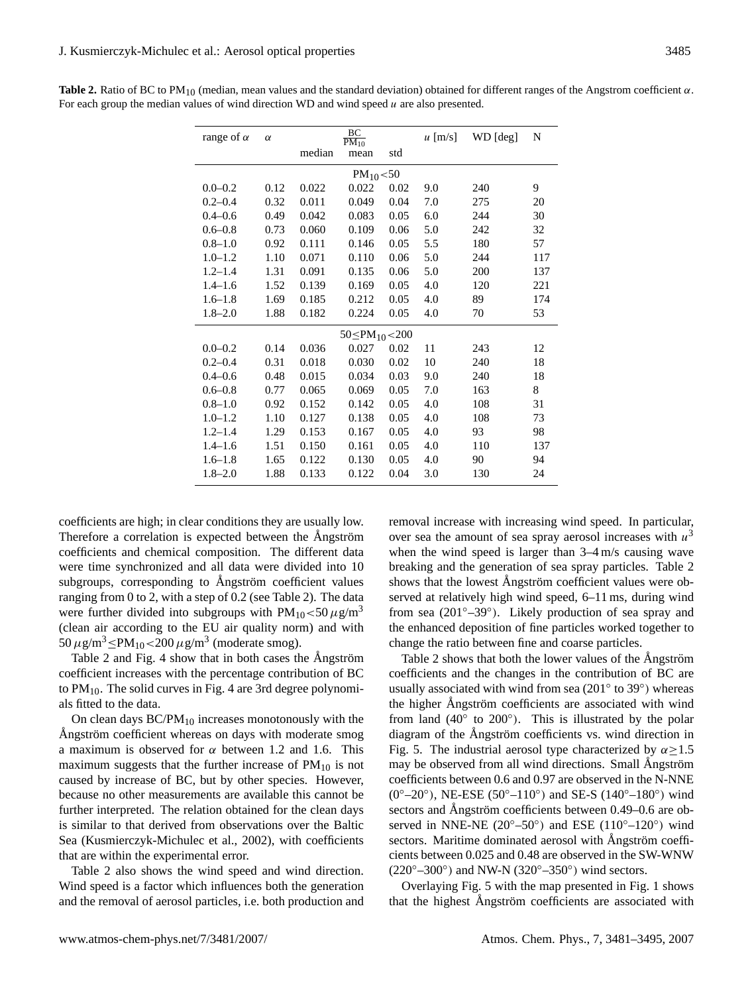| range of $\alpha$      | $\alpha$ | $rac{BC}{PM_{10}}$ |       |      | $u$ [m/s] | WD [deg] | N   |  |
|------------------------|----------|--------------------|-------|------|-----------|----------|-----|--|
|                        |          | median             | mean  | std  |           |          |     |  |
| $PM_{10} < 50$         |          |                    |       |      |           |          |     |  |
| $0.0 - 0.2$            | 0.12     | 0.022              | 0.022 | 0.02 | 9.0       | 240      | 9   |  |
| $0.2 - 0.4$            | 0.32     | 0.011              | 0.049 | 0.04 | 7.0       | 275      | 20  |  |
| $0.4 - 0.6$            | 0.49     | 0.042              | 0.083 | 0.05 | 6.0       | 244      | 30  |  |
| $0.6 - 0.8$            | 0.73     | 0.060              | 0.109 | 0.06 | 5.0       | 242      | 32  |  |
| $0.8 - 1.0$            | 0.92     | 0.111              | 0.146 | 0.05 | 5.5       | 180      | 57  |  |
| $1.0 - 1.2$            | 1.10     | 0.071              | 0.110 | 0.06 | 5.0       | 244      | 117 |  |
| $1.2 - 1.4$            | 1.31     | 0.091              | 0.135 | 0.06 | 5.0       | 200      | 137 |  |
| $1.4 - 1.6$            | 1.52     | 0.139              | 0.169 | 0.05 | 4.0       | 120      | 221 |  |
| $1.6 - 1.8$            | 1.69     | 0.185              | 0.212 | 0.05 | 4.0       | 89       | 174 |  |
| $1.8 - 2.0$            | 1.88     | 0.182              | 0.224 | 0.05 | 4.0       | 70       | 53  |  |
| $50 \le PM_{10} < 200$ |          |                    |       |      |           |          |     |  |
| $0.0 - 0.2$            | 0.14     | 0.036              | 0.027 | 0.02 | 11        | 243      | 12  |  |
| $0.2 - 0.4$            | 0.31     | 0.018              | 0.030 | 0.02 | 10        | 240      | 18  |  |
| $0.4 - 0.6$            | 0.48     | 0.015              | 0.034 | 0.03 | 9.0       | 240      | 18  |  |
| $0.6 - 0.8$            | 0.77     | 0.065              | 0.069 | 0.05 | 7.0       | 163      | 8   |  |
| $0.8 - 1.0$            | 0.92     | 0.152              | 0.142 | 0.05 | 4.0       | 108      | 31  |  |
| $1.0 - 1.2$            | 1.10     | 0.127              | 0.138 | 0.05 | 4.0       | 108      | 73  |  |
| $1.2 - 1.4$            | 1.29     | 0.153              | 0.167 | 0.05 | 4.0       | 93       | 98  |  |
| $1.4 - 1.6$            | 1.51     | 0.150              | 0.161 | 0.05 | 4.0       | 110      | 137 |  |
| $1.6 - 1.8$            | 1.65     | 0.122              | 0.130 | 0.05 | 4.0       | 90       | 94  |  |
| $1.8 - 2.0$            | 1.88     | 0.133              | 0.122 | 0.04 | 3.0       | 130      | 24  |  |

**Table 2.** Ratio of BC to PM<sub>10</sub> (median, mean values and the standard deviation) obtained for different ranges of the Angstrom coefficient  $\alpha$ . For each group the median values of wind direction WD and wind speed  $u$  are also presented.

coefficients are high; in clear conditions they are usually low. Therefore a correlation is expected between the Angström coefficients and chemical composition. The different data were time synchronized and all data were divided into 10 subgroups, corresponding to Angström coefficient values ranging from 0 to 2, with a step of 0.2 (see Table 2). The data were further divided into subgroups with  $PM_{10} < 50 \,\mu g/m^3$ (clean air according to the EU air quality norm) and with  $50 \,\mu g/m^3 \le PM_{10} < 200 \,\mu g/m^3$  (moderate smog).

Table 2 and Fig. 4 show that in both cases the Angström coefficient increases with the percentage contribution of BC to  $PM_{10}$ . The solid curves in Fig. 4 are 3rd degree polynomials fitted to the data.

On clean days  $BC/PM_{10}$  increases monotonously with the Angström coefficient whereas on days with moderate smog a maximum is observed for  $\alpha$  between 1.2 and 1.6. This maximum suggests that the further increase of  $PM_{10}$  is not caused by increase of BC, but by other species. However, because no other measurements are available this cannot be further interpreted. The relation obtained for the clean days is similar to that derived from observations over the Baltic Sea (Kusmierczyk-Michulec et al., 2002), with coefficients that are within the experimental error.

Table 2 also shows the wind speed and wind direction. Wind speed is a factor which influences both the generation and the removal of aerosol particles, i.e. both production and removal increase with increasing wind speed. In particular, over sea the amount of sea spray aerosol increases with  $u^3$ when the wind speed is larger than  $3-4$  m/s causing wave breaking and the generation of sea spray particles. Table 2 shows that the lowest Angström coefficient values were observed at relatively high wind speed, 6–11 ms, during wind from sea (201◦–39◦ ). Likely production of sea spray and the enhanced deposition of fine particles worked together to change the ratio between fine and coarse particles.

Table 2 shows that both the lower values of the Angström coefficients and the changes in the contribution of BC are usually associated with wind from sea (201° to 39°) whereas the higher Angström coefficients are associated with wind from land  $(40°$  to  $200°)$ . This is illustrated by the polar diagram of the Angström coefficients vs. wind direction in Fig. 5. The industrial aerosol type characterized by  $\alpha \ge 1.5$ may be observed from all wind directions. Small Angström coefficients between 0.6 and 0.97 are observed in the N-NNE (0°-20°), NE-ESE (50°-110°) and SE-S (140°-180°) wind sectors and Ångström coefficients between 0.49–0.6 are observed in NNE-NE ( $20^{\circ}$ – $50^{\circ}$ ) and ESE ( $110^{\circ}$ – $120^{\circ}$ ) wind sectors. Maritime dominated aerosol with Angström coefficients between 0.025 and 0.48 are observed in the SW-WNW  $(220°-300°)$  and NW-N  $(320°-350°)$  wind sectors.

Overlaying Fig. 5 with the map presented in Fig. 1 shows that the highest Ångström coefficients are associated with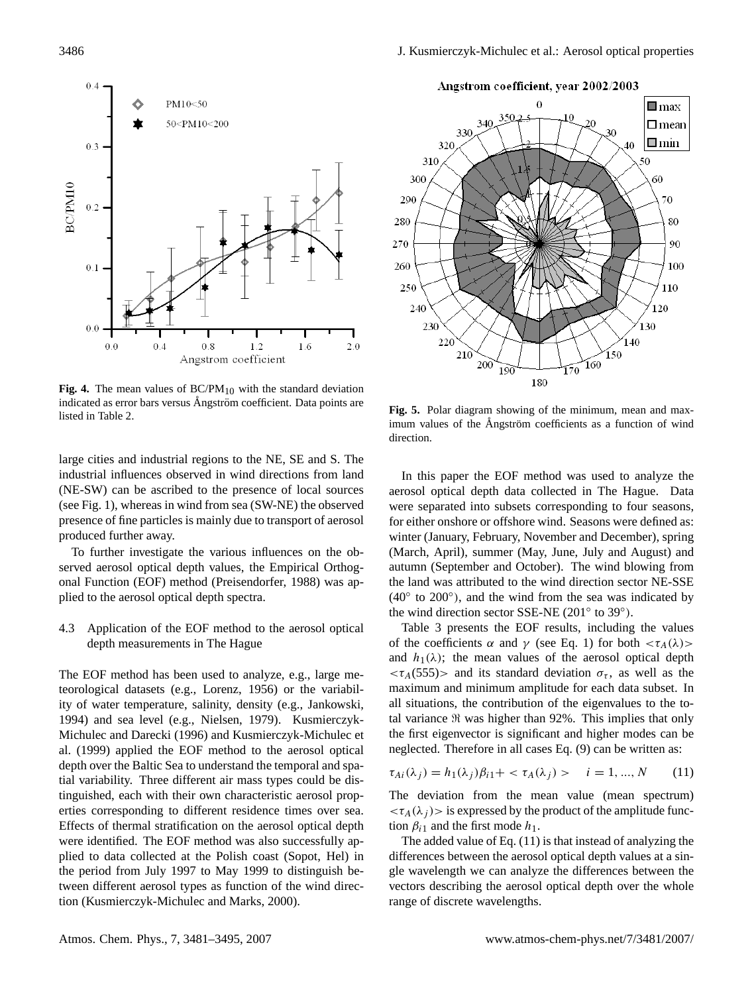

Fig. 4. The mean values of  $BC/PM_{10}$  with the standard deviation indicated as error bars versus Ångström coefficient. Data points are listed in Table 2.

large cities and industrial regions to the NE, SE and S. The industrial influences observed in wind directions from land (NE-SW) can be ascribed to the presence of local sources (see Fig. 1), whereas in wind from sea (SW-NE) the observed presence of fine particles is mainly due to transport of aerosol produced further away.

To further investigate the various influences on the observed aerosol optical depth values, the Empirical Orthogonal Function (EOF) method (Preisendorfer, 1988) was applied to the aerosol optical depth spectra.

4.3 Application of the EOF method to the aerosol optical depth measurements in The Hague

The EOF method has been used to analyze, e.g., large meteorological datasets (e.g., Lorenz, 1956) or the variability of water temperature, salinity, density (e.g., Jankowski, 1994) and sea level (e.g., Nielsen, 1979). Kusmierczyk-Michulec and Darecki (1996) and Kusmierczyk-Michulec et al. (1999) applied the EOF method to the aerosol optical depth over the Baltic Sea to understand the temporal and spatial variability. Three different air mass types could be distinguished, each with their own characteristic aerosol properties corresponding to different residence times over sea. Effects of thermal stratification on the aerosol optical depth were identified. The EOF method was also successfully applied to data collected at the Polish coast (Sopot, Hel) in the period from July 1997 to May 1999 to distinguish between different aerosol types as function of the wind direction (Kusmierczyk-Michulec and Marks, 2000).

Angstrom coefficient, year 2002/2003



**Fig. 5.** Polar diagram showing of the minimum, mean and maximum values of the Angström coefficients as a function of wind direction.

In this paper the EOF method was used to analyze the aerosol optical depth data collected in The Hague. Data were separated into subsets corresponding to four seasons, for either onshore or offshore wind. Seasons were defined as: winter (January, February, November and December), spring (March, April), summer (May, June, July and August) and autumn (September and October). The wind blowing from the land was attributed to the wind direction sector NE-SSE (40◦ to 200◦ ), and the wind from the sea was indicated by the wind direction sector SSE-NE (201° to 39°).

Table 3 presents the EOF results, including the values of the coefficients  $\alpha$  and  $\gamma$  (see Eq. 1) for both  $\langle \tau_A(\lambda) \rangle$ and  $h_1(\lambda)$ ; the mean values of the aerosol optical depth  $\langle \tau_A(555) \rangle$  and its standard deviation  $\sigma_{\tau}$ , as well as the maximum and minimum amplitude for each data subset. In all situations, the contribution of the eigenvalues to the total variance  $\Re$  was higher than 92%. This implies that only the first eigenvector is significant and higher modes can be neglected. Therefore in all cases Eq. (9) can be written as:

$$
\tau_{Ai}(\lambda_j) = h_1(\lambda_j)\beta_{i1} + \langle \tau_A(\lambda_j) \rangle \qquad i = 1, ..., N \qquad (11)
$$

The deviation from the mean value (mean spectrum)  $\langle \tau_A(\lambda_i) \rangle$  is expressed by the product of the amplitude function  $\beta_{i1}$  and the first mode  $h_1$ .

The added value of Eq. (11) is that instead of analyzing the differences between the aerosol optical depth values at a single wavelength we can analyze the differences between the vectors describing the aerosol optical depth over the whole range of discrete wavelengths.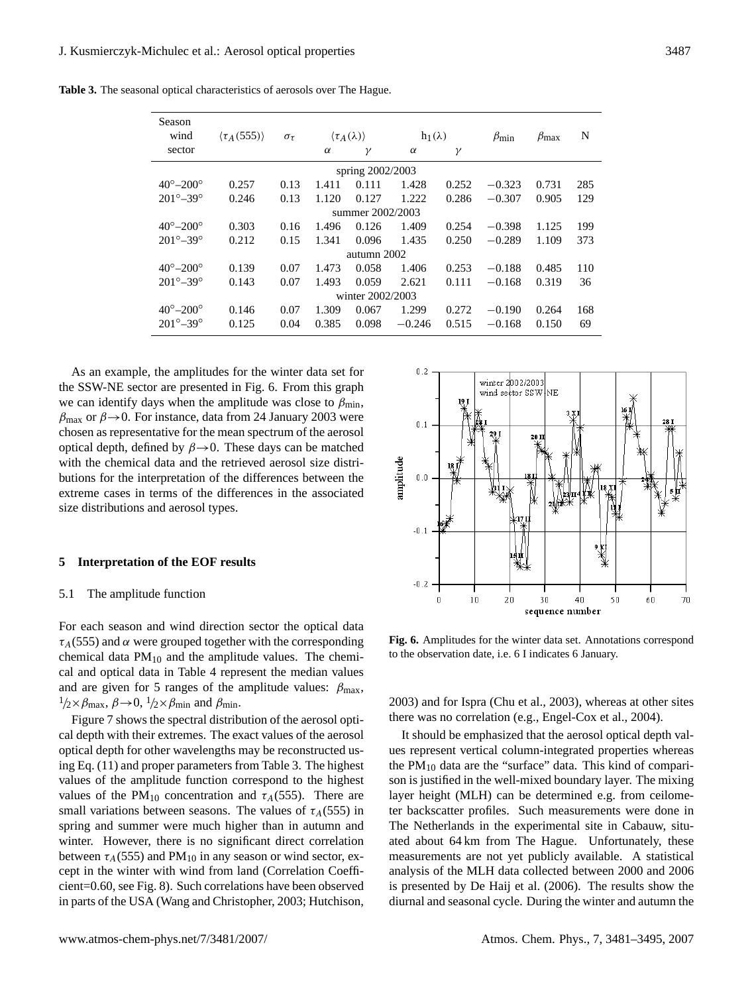**Table 3.** The seasonal optical characteristics of aerosols over The Hague.

| Season<br>wind             | $\langle \tau_A(555) \rangle$ | $\sigma_{\tau}$ |          | $\langle \tau_A(\lambda) \rangle$ | $h_1(\lambda)$ |          | $\beta_{\min}$ | $\beta_{\text{max}}$ | N   |
|----------------------------|-------------------------------|-----------------|----------|-----------------------------------|----------------|----------|----------------|----------------------|-----|
| sector                     |                               |                 | $\alpha$ | γ                                 | $\alpha$       | $\gamma$ |                |                      |     |
|                            | spring 2002/2003              |                 |          |                                   |                |          |                |                      |     |
| $40^{\circ} - 200^{\circ}$ | 0.257                         | 0.13            | 1.411    | 0.111                             | 1.428          | 0.252    | $-0.323$       | 0.731                | 285 |
| $201^{\circ} - 39^{\circ}$ | 0.246                         | 0.13            | 1.120    | 0.127                             | 1.222          | 0.286    | $-0.307$       | 0.905                | 129 |
| summer 2002/2003           |                               |                 |          |                                   |                |          |                |                      |     |
| $40^{\circ} - 200^{\circ}$ | 0.303                         | 0.16            | 1.496    | 0.126                             | 1.409          | 0.254    | $-0.398$       | 1.125                | 199 |
| $201^{\circ} - 39^{\circ}$ | 0.212                         | 0.15            | 1.341    | 0.096                             | 1.435          | 0.250    | $-0.289$       | 1.109                | 373 |
| autumn 2002                |                               |                 |          |                                   |                |          |                |                      |     |
| $40^{\circ} - 200^{\circ}$ | 0.139                         | 0.07            | 1.473    | 0.058                             | 1.406          | 0.253    | $-0.188$       | 0.485                | 110 |
| $201^{\circ} - 39^{\circ}$ | 0.143                         | 0.07            | 1.493    | 0.059                             | 2.621          | 0.111    | $-0.168$       | 0.319                | 36  |
| winter 2002/2003           |                               |                 |          |                                   |                |          |                |                      |     |
| $40^{\circ} - 200^{\circ}$ | 0.146                         | 0.07            | 1.309    | 0.067                             | 1.299          | 0.272    | $-0.190$       | 0.264                | 168 |
| $201^{\circ} - 39^{\circ}$ | 0.125                         | 0.04            | 0.385    | 0.098                             | $-0.246$       | 0.515    | $-0.168$       | 0.150                | 69  |

As an example, the amplitudes for the winter data set for the SSW-NE sector are presented in Fig. 6. From this graph we can identify days when the amplitude was close to  $\beta_{\text{min}}$ ,  $\beta_{\text{max}}$  or  $\beta \rightarrow 0$ . For instance, data from 24 January 2003 were chosen as representative for the mean spectrum of the aerosol optical depth, defined by  $\beta \rightarrow 0$ . These days can be matched with the chemical data and the retrieved aerosol size distributions for the interpretation of the differences between the extreme cases in terms of the differences in the associated size distributions and aerosol types.

#### **5 Interpretation of the EOF results**

#### 5.1 The amplitude function

For each season and wind direction sector the optical data  $\tau_A$ (555) and  $\alpha$  were grouped together with the corresponding chemical data  $PM_{10}$  and the amplitude values. The chemical and optical data in Table 4 represent the median values and are given for 5 ranges of the amplitude values:  $\beta_{\text{max}}$ ,  $1/2 \times \beta_{\text{max}}$ ,  $\beta \rightarrow 0$ ,  $1/2 \times \beta_{\text{min}}$  and  $\beta_{\text{min}}$ .

Figure 7 shows the spectral distribution of the aerosol optical depth with their extremes. The exact values of the aerosol optical depth for other wavelengths may be reconstructed using Eq. (11) and proper parameters from Table 3. The highest values of the amplitude function correspond to the highest values of the PM<sub>10</sub> concentration and  $\tau_A$ (555). There are small variations between seasons. The values of  $\tau_A(555)$  in spring and summer were much higher than in autumn and winter. However, there is no significant direct correlation between  $\tau_A$ (555) and PM<sub>10</sub> in any season or wind sector, except in the winter with wind from land (Correlation Coefficient=0.60, see Fig. 8). Such correlations have been observed in parts of the USA (Wang and Christopher, 2003; Hutchison,



**Fig. 6.** Amplitudes for the winter data set. Annotations correspond to the observation date, i.e. 6 I indicates 6 January.

2003) and for Ispra (Chu et al., 2003), whereas at other sites there was no correlation (e.g., Engel-Cox et al., 2004).

It should be emphasized that the aerosol optical depth values represent vertical column-integrated properties whereas the  $PM_{10}$  data are the "surface" data. This kind of comparison is justified in the well-mixed boundary layer. The mixing layer height (MLH) can be determined e.g. from ceilometer backscatter profiles. Such measurements were done in The Netherlands in the experimental site in Cabauw, situated about 64 km from The Hague. Unfortunately, these measurements are not yet publicly available. A statistical analysis of the MLH data collected between 2000 and 2006 is presented by De Haij et al. (2006). The results show the diurnal and seasonal cycle. During the winter and autumn the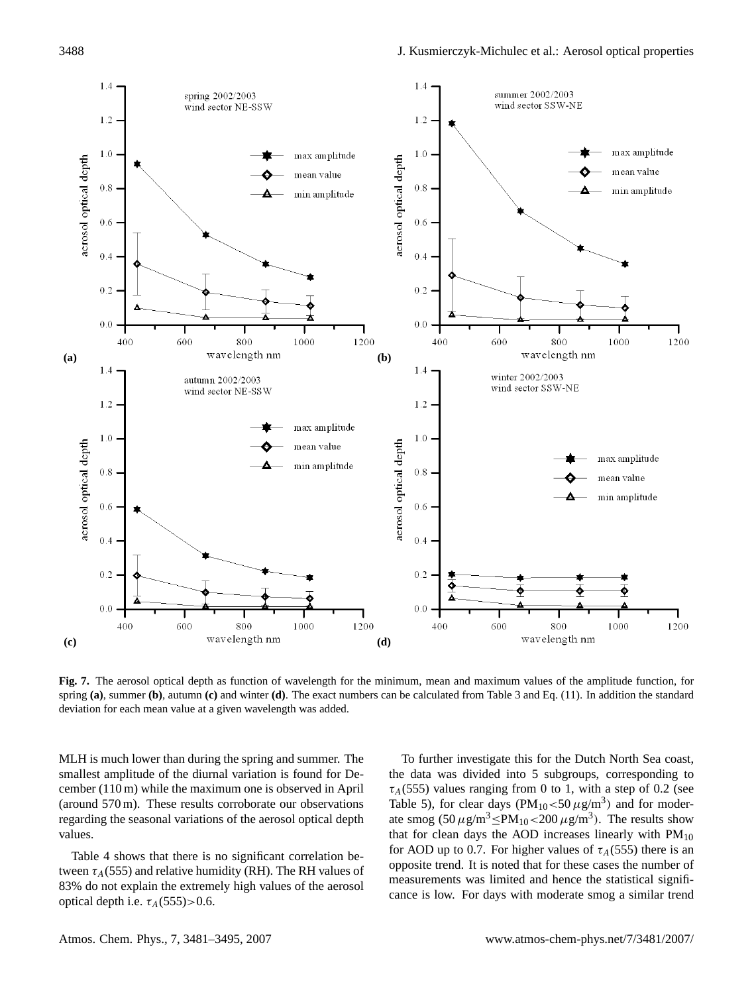

**Fig. 7.** The aerosol optical depth as function of wavelength for the minimum, mean and maximum values of the amplitude function, for spring **(a)**, summer **(b)**, autumn **(c)** and winter **(d)**. The exact numbers can be calculated from Table 3 and Eq. (11). In addition the standard deviation for each mean value at a given wavelength was added.

MLH is much lower than during the spring and summer. The smallest amplitude of the diurnal variation is found for December (110 m) while the maximum one is observed in April (around 570 m). These results corroborate our observations regarding the seasonal variations of the aerosol optical depth values.

Table 4 shows that there is no significant correlation between  $\tau_A$ (555) and relative humidity (RH). The RH values of 83% do not explain the extremely high values of the aerosol optical depth i.e.  $\tau_A(555)$  > 0.6.

To further investigate this for the Dutch North Sea coast, the data was divided into 5 subgroups, corresponding to  $\tau_A$ (555) values ranging from 0 to 1, with a step of 0.2 (see Table 5), for clear days ( $PM_{10} < 50 \,\mu g/m^3$ ) and for moderate smog  $(50 \,\mu g/m^3 \le PM_{10} < 200 \,\mu g/m^3)$ . The results show that for clean days the AOD increases linearly with  $PM_{10}$ for AOD up to 0.7. For higher values of  $\tau_A$ (555) there is an opposite trend. It is noted that for these cases the number of measurements was limited and hence the statistical significance is low. For days with moderate smog a similar trend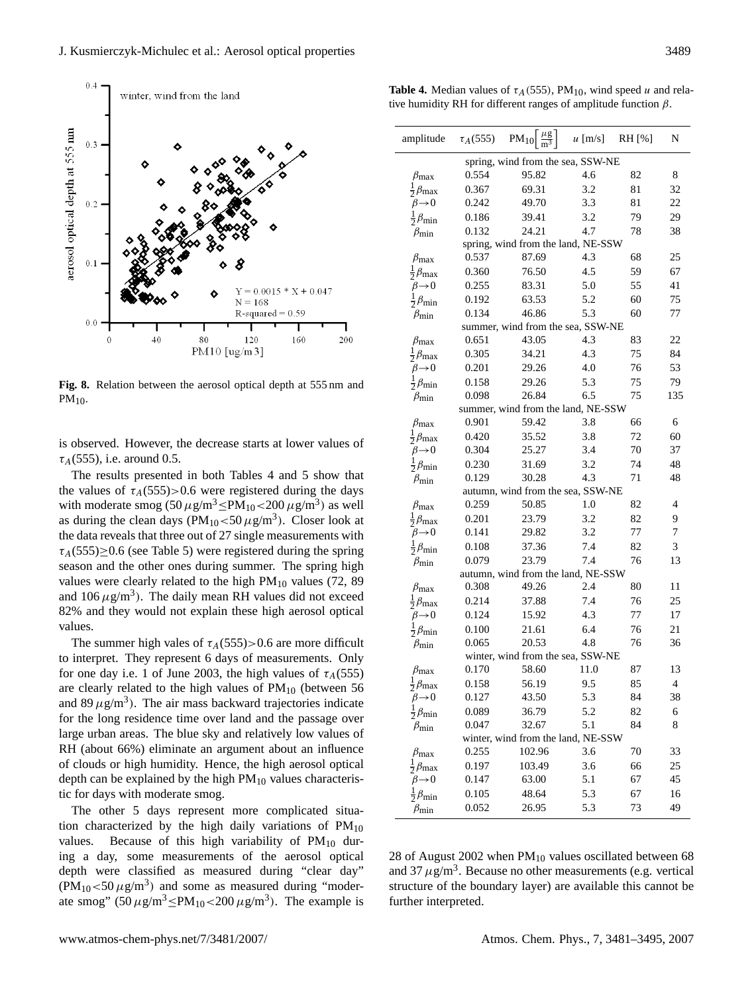

**Fig. 8.** Relation between the aerosol optical depth at 555 nm and  $PM_{10}$ .

is observed. However, the decrease starts at lower values of  $\tau_A$ (555), i.e. around 0.5.

The results presented in both Tables 4 and 5 show that the values of  $\tau_A(555)$ >0.6 were registered during the days with moderate smog  $(50 \,\mu g/m^3 \le PM_{10} < 200 \,\mu g/m^3)$  as well as during the clean days  $(PM_{10} < 50 \,\mu g/m^3)$ . Closer look at the data reveals that three out of 27 single measurements with  $\tau_A$ (555)≥0.6 (see Table 5) were registered during the spring season and the other ones during summer. The spring high values were clearly related to the high  $PM_{10}$  values (72, 89) and  $106 \,\mu g/m^3$ ). The daily mean RH values did not exceed 82% and they would not explain these high aerosol optical values.

The summer high vales of  $\tau_A(555) > 0.6$  are more difficult to interpret. They represent 6 days of measurements. Only for one day i.e. 1 of June 2003, the high values of  $\tau_A(555)$ are clearly related to the high values of  $PM_{10}$  (between 56 and 89  $\mu$ g/m<sup>3</sup>). The air mass backward trajectories indicate for the long residence time over land and the passage over large urban areas. The blue sky and relatively low values of RH (about 66%) eliminate an argument about an influence of clouds or high humidity. Hence, the high aerosol optical depth can be explained by the high  $PM_{10}$  values characteristic for days with moderate smog.

The other 5 days represent more complicated situation characterized by the high daily variations of  $PM_{10}$ values. Because of this high variability of  $PM_{10}$  during a day, some measurements of the aerosol optical depth were classified as measured during "clear day"  $(PM_{10} < 50 \,\mu g/m^3)$  and some as measured during "moderate smog"  $(50 \,\mu g/m^3 \le PM_{10} < 200 \,\mu g/m^3)$ . The example is

| amplitude                          | $\tau_A(555)$ | $PM_{10} \frac{\mu g}{m^3}$        | $u$ [m/s] | RH [%] | N                        |  |  |  |  |
|------------------------------------|---------------|------------------------------------|-----------|--------|--------------------------|--|--|--|--|
| spring, wind from the sea, SSW-NE  |               |                                    |           |        |                          |  |  |  |  |
| $\beta_{\rm max}$                  | 0.554         | 95.82                              | 4.6       | 82     | 8                        |  |  |  |  |
| $\frac{1}{2}\beta_{\text{max}}$    | 0.367         | 69.31                              | 3.2       | 81     | 32                       |  |  |  |  |
| $\beta \rightarrow 0$              | 0.242         | 49.70                              | 3.3       | 81     | 22                       |  |  |  |  |
| $\beta_{\rm min}$                  | 0.186         | 39.41                              | 3.2       | 79     | 29                       |  |  |  |  |
| $\beta_{\rm min}$                  | 0.132         | 24.21                              | 4.7       | 78     | 38                       |  |  |  |  |
|                                    |               | spring, wind from the land, NE-SSW |           |        |                          |  |  |  |  |
| $\beta_{\rm max}$                  | 0.537         | 87.69                              | 4.3       | 68     | 25                       |  |  |  |  |
| $\frac{1}{2}\beta_{\text{max}}$    | 0.360         | 76.50                              | 4.5       | 59     | 67                       |  |  |  |  |
| $\beta \rightarrow 0$              | 0.255         | 83.31                              | 5.0       | 55     | 41                       |  |  |  |  |
| $\frac{1}{2}\beta_{\min}$          | 0.192         | 63.53                              | 5.2       | 60     | 75                       |  |  |  |  |
| $\beta_{\rm min}$                  | 0.134         | 46.86                              | 5.3       | 60     | 77                       |  |  |  |  |
|                                    |               | summer, wind from the sea, SSW-NE  |           |        |                          |  |  |  |  |
| $\beta_{\text{max}}$               | 0.651         | 43.05                              | 4.3       | 83     | 22                       |  |  |  |  |
| $\frac{1}{2}\beta_{\text{max}}$    | 0.305         | 34.21                              | 4.3       | 75     | 84                       |  |  |  |  |
| $\beta\rightarrow 0$               | 0.201         | 29.26                              | 4.0       | 76     | 53                       |  |  |  |  |
| $\frac{1}{2}\beta_{\min}$          | 0.158         | 29.26                              | 5.3       | 75     | 79                       |  |  |  |  |
| $\beta_{\rm min}$                  | 0.098         | 26.84                              | 6.5       | 75     | 135                      |  |  |  |  |
|                                    |               | summer, wind from the land, NE-SSW |           |        |                          |  |  |  |  |
| $\beta_{\rm max}$                  | 0.901         | 59.42                              | 3.8       | 66     | 6                        |  |  |  |  |
| $\frac{1}{2}\beta_{\text{max}}$    | 0.420         | 35.52                              | 3.8       | 72     | 60                       |  |  |  |  |
| $\beta\rightarrow 0$               | 0.304         | 25.27                              | 3.4       | 70     | 37                       |  |  |  |  |
| $\frac{1}{2}\beta_{\min}$          | 0.230         | 31.69                              | 3.2       | 74     | 48                       |  |  |  |  |
| $\beta_{\rm min}$                  | 0.129         | 30.28                              | 4.3       | 71     | 48                       |  |  |  |  |
| autumn, wind from the sea, SSW-NE  |               |                                    |           |        |                          |  |  |  |  |
| $\beta_{\rm max}$                  | 0.259         | 50.85                              | 1.0       | 82     | $\overline{4}$           |  |  |  |  |
| $\frac{1}{2}\beta_{\text{max}}$    | 0.201         | 23.79                              | 3.2       | 82     | 9                        |  |  |  |  |
| $\beta\rightarrow 0$               | 0.141         | 29.82                              | 3.2       | 77     | 7                        |  |  |  |  |
| $\beta_{\rm min}$                  | 0.108         | 37.36                              | 7.4       | 82     | 3                        |  |  |  |  |
| $\beta_{\rm min}$                  | 0.079         | 23.79                              | 7.4       | 76     | 13                       |  |  |  |  |
|                                    |               | autumn, wind from the land, NE-SSW |           |        |                          |  |  |  |  |
| $\beta_{\rm max}$                  | 0.308         | 49.26                              | 2.4       | 80     | 11                       |  |  |  |  |
| $\frac{1}{2}\beta_{\text{max}}$    | 0.214         | 37.88                              | 7.4       | 76     | 25                       |  |  |  |  |
| $\beta\rightarrow 0$               | 0.124         | 15.92                              | 4.3       | 77     | 17                       |  |  |  |  |
| $\beta_{\min}$                     | 0.100         | 21.61                              | 6.4       | 76     | 21                       |  |  |  |  |
| $\beta_{\rm min}$                  | 0.065         | 20.53                              | 4.8       | 76     | 36                       |  |  |  |  |
|                                    |               | winter, wind from the sea, SSW-NE  |           |        |                          |  |  |  |  |
| $\beta_{\rm max}$                  | 0.170         | 58.60                              | 11.0      | 87     | 13                       |  |  |  |  |
| $\frac{1}{2}\beta_{\text{max}}$    | 0.158         | 56.19                              | 9.5       | 85     | $\overline{\mathcal{A}}$ |  |  |  |  |
| $\beta \rightarrow 0$              | 0.127         | 43.50                              | 5.3       | 84     | 38                       |  |  |  |  |
| $\frac{1}{2}\beta_{\min}$          | 0.089         | 36.79                              | 5.2       | 82     | 6                        |  |  |  |  |
| $\beta_{\rm min}$                  | 0.047         | 32.67                              | 5.1       | 84     | 8                        |  |  |  |  |
|                                    |               | winter, wind from the land, NE-SSW |           |        |                          |  |  |  |  |
| $\beta_{\rm max}$                  | 0.255         | 102.96                             | 3.6       | 70     | 33                       |  |  |  |  |
| $\beta_{\rm max}$                  | 0.197         | 103.49                             | 3.6       | 66     | 25                       |  |  |  |  |
| $\beta\rightarrow 0$               | 0.147         | 63.00                              | 5.1       | 67     | 45                       |  |  |  |  |
| $\frac{1}{2}$<br>$\beta_{\rm min}$ | 0.105         | 48.64                              | 5.3       | 67     | 16                       |  |  |  |  |
| $\beta_{\rm min}$                  | 0.052         | 26.95                              | 5.3       | 73     | 49                       |  |  |  |  |
|                                    |               |                                    |           |        |                          |  |  |  |  |

28 of August 2002 when  $PM_{10}$  values oscillated between 68 and 37  $\mu$ g/m<sup>3</sup>. Because no other measurements (e.g. vertical structure of the boundary layer) are available this cannot be further interpreted.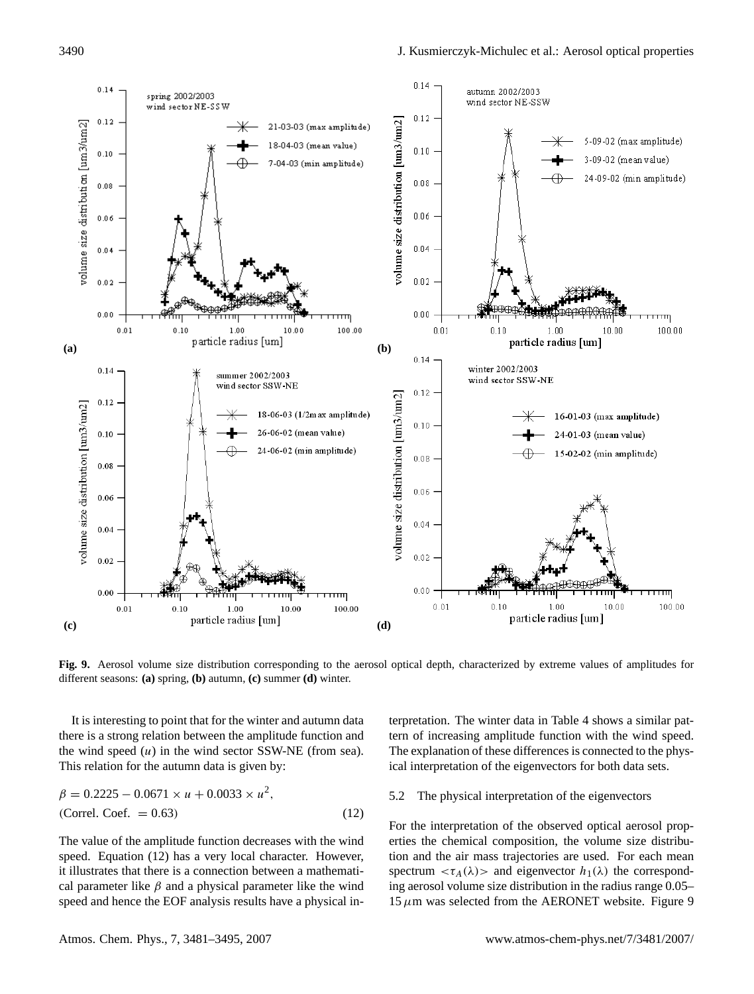

**Fig. 9.** Aerosol volume size distribution corresponding to the aerosol optical depth, characterized by extreme values of amplitudes for different seasons: **(a)** spring, **(b)** autumn, **(c)** summer **(d)** winter.

It is interesting to point that for the winter and autumn data there is a strong relation between the amplitude function and the wind speed  $(u)$  in the wind sector SSW-NE (from sea). This relation for the autumn data is given by:

$$
\beta = 0.2225 - 0.0671 \times u + 0.0033 \times u^{2},
$$
  
(Correl. Coef. = 0.63) (12)

The value of the amplitude function decreases with the wind speed. Equation (12) has a very local character. However, it illustrates that there is a connection between a mathematical parameter like  $\beta$  and a physical parameter like the wind speed and hence the EOF analysis results have a physical interpretation. The winter data in Table 4 shows a similar pattern of increasing amplitude function with the wind speed. The explanation of these differences is connected to the physical interpretation of the eigenvectors for both data sets.

#### 5.2 The physical interpretation of the eigenvectors

For the interpretation of the observed optical aerosol properties the chemical composition, the volume size distribution and the air mass trajectories are used. For each mean spectrum  $\langle \tau_A(\lambda) \rangle$  and eigenvector  $h_1(\lambda)$  the corresponding aerosol volume size distribution in the radius range 0.05– 15  $\mu$ m was selected from the AERONET website. Figure 9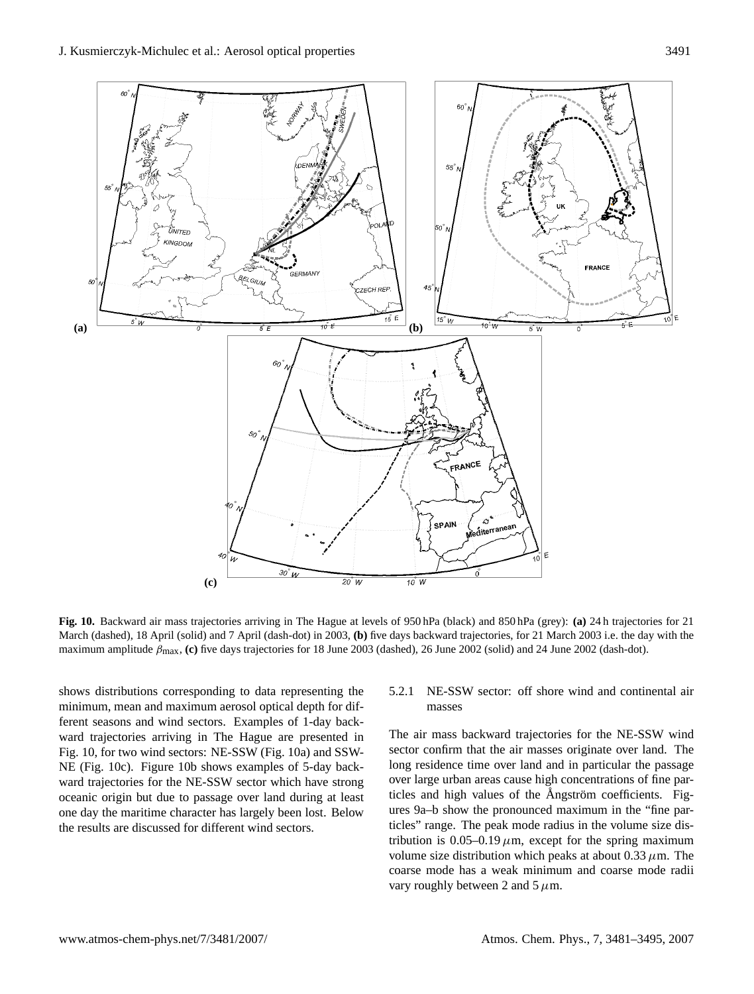

**Fig. 10.** Backward air mass trajectories arriving in The Hague at levels of 950 hPa (black) and 850 hPa (grey): **(a)** 24 h trajectories for 21 March (dashed), 18 April (solid) and 7 April (dash-dot) in 2003, **(b)** five days backward trajectories, for 21 March 2003 i.e. the day with the maximum amplitude βmax, **(c)** five days trajectories for 18 June 2003 (dashed), 26 June 2002 (solid) and 24 June 2002 (dash-dot).

shows distributions corresponding to data representing the minimum, mean and maximum aerosol optical depth for different seasons and wind sectors. Examples of 1-day backward trajectories arriving in The Hague are presented in Fig. 10, for two wind sectors: NE-SSW (Fig. 10a) and SSW-NE (Fig. 10c). Figure 10b shows examples of 5-day backward trajectories for the NE-SSW sector which have strong oceanic origin but due to passage over land during at least one day the maritime character has largely been lost. Below the results are discussed for different wind sectors.

# 5.2.1 NE-SSW sector: off shore wind and continental air masses

The air mass backward trajectories for the NE-SSW wind sector confirm that the air masses originate over land. The long residence time over land and in particular the passage over large urban areas cause high concentrations of fine particles and high values of the Angström coefficients. Figures 9a–b show the pronounced maximum in the "fine particles" range. The peak mode radius in the volume size distribution is 0.05–0.19  $\mu$ m, except for the spring maximum volume size distribution which peaks at about  $0.33 \mu$ m. The coarse mode has a weak minimum and coarse mode radii vary roughly between 2 and 5  $\mu$ m.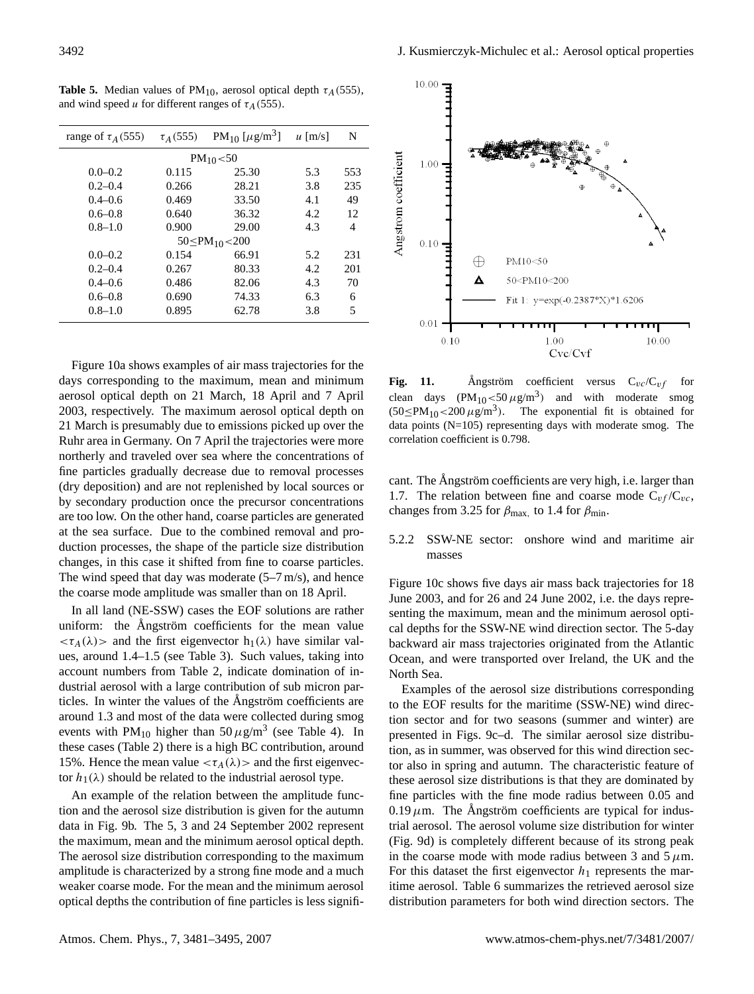| range of $\tau_A$ (555) | PM <sub>10</sub> [ $\mu$ g/m <sup>3</sup> ]<br>$\tau_A(555)$ |       | $\mu$ [m/s] | N   |  |  |  |  |
|-------------------------|--------------------------------------------------------------|-------|-------------|-----|--|--|--|--|
| $PM_{10} < 50$          |                                                              |       |             |     |  |  |  |  |
| $0.0 - 0.2$             | 0.115                                                        | 25.30 | 5.3         | 553 |  |  |  |  |
| $0.2 - 0.4$             | 0.266                                                        | 28.21 | 3.8         | 235 |  |  |  |  |
| $0.4 - 0.6$             | 0.469                                                        | 33.50 | 4.1         | 49  |  |  |  |  |
| $0.6 - 0.8$             | 0.640                                                        | 36.32 | 4.2         | 12  |  |  |  |  |
| $0.8 - 1.0$             | 0.900                                                        | 29.00 | 4.3         | 4   |  |  |  |  |
| $50 < PM_{10} < 200$    |                                                              |       |             |     |  |  |  |  |
| $0.0 - 0.2$             | 0.154                                                        | 66.91 | 5.2         | 231 |  |  |  |  |
| $0.2 - 0.4$             | 0.267                                                        | 80.33 | 4.2         | 201 |  |  |  |  |
| $0.4 - 0.6$             | 0.486                                                        | 82.06 | 4.3         | 70  |  |  |  |  |
| $0.6 - 0.8$             | 0.690                                                        | 74.33 | 6.3         | 6   |  |  |  |  |
| $0.8 - 1.0$             | 0.895                                                        | 62.78 | 3.8         | 5   |  |  |  |  |

**Table 5.** Median values of PM<sub>10</sub>, aerosol optical depth  $\tau_A$ (555), and wind speed u for different ranges of  $\tau_A$ (555).

Figure 10a shows examples of air mass trajectories for the days corresponding to the maximum, mean and minimum aerosol optical depth on 21 March, 18 April and 7 April 2003, respectively. The maximum aerosol optical depth on 21 March is presumably due to emissions picked up over the Ruhr area in Germany. On 7 April the trajectories were more northerly and traveled over sea where the concentrations of fine particles gradually decrease due to removal processes (dry deposition) and are not replenished by local sources or by secondary production once the precursor concentrations are too low. On the other hand, coarse particles are generated at the sea surface. Due to the combined removal and production processes, the shape of the particle size distribution changes, in this case it shifted from fine to coarse particles. The wind speed that day was moderate  $(5-7 \text{ m/s})$ , and hence the coarse mode amplitude was smaller than on 18 April.

In all land (NE-SSW) cases the EOF solutions are rather uniform: the Angström coefficients for the mean value  $<\tau_A(\lambda)$  and the first eigenvector  $h_1(\lambda)$  have similar values, around 1.4–1.5 (see Table 3). Such values, taking into account numbers from Table 2, indicate domination of industrial aerosol with a large contribution of sub micron particles. In winter the values of the Angström coefficients are around 1.3 and most of the data were collected during smog events with  $PM_{10}$  higher than  $50 \,\mu g/m^3$  (see Table 4). In these cases (Table 2) there is a high BC contribution, around 15%. Hence the mean value  $<\tau_A(\lambda)>$  and the first eigenvector  $h_1(\lambda)$  should be related to the industrial aerosol type.

An example of the relation between the amplitude function and the aerosol size distribution is given for the autumn data in Fig. 9b. The 5, 3 and 24 September 2002 represent the maximum, mean and the minimum aerosol optical depth. The aerosol size distribution corresponding to the maximum amplitude is characterized by a strong fine mode and a much weaker coarse mode. For the mean and the minimum aerosol optical depths the contribution of fine particles is less signifi-



**Fig. 11.** Angström coefficient versus  $C_{vc}/C_{vf}$  for clean days  $(PM_{10} < 50 \,\mu g/m^3)$  and with moderate smog  $(50\le PM_{10}\lt 200 \,\mu\text{g/m}^3)$ . ). The exponential fit is obtained for data points (N=105) representing days with moderate smog. The correlation coefficient is 0.798.

cant. The Ångström coefficients are very high, i.e. larger than 1.7. The relation between fine and coarse mode  $C_{\nu f}/C_{\nu c}$ , changes from 3.25 for  $\beta_{\text{max}}$ , to 1.4 for  $\beta_{\text{min}}$ .

5.2.2 SSW-NE sector: onshore wind and maritime air masses

Figure 10c shows five days air mass back trajectories for 18 June 2003, and for 26 and 24 June 2002, i.e. the days representing the maximum, mean and the minimum aerosol optical depths for the SSW-NE wind direction sector. The 5-day backward air mass trajectories originated from the Atlantic Ocean, and were transported over Ireland, the UK and the North Sea.

Examples of the aerosol size distributions corresponding to the EOF results for the maritime (SSW-NE) wind direction sector and for two seasons (summer and winter) are presented in Figs. 9c–d. The similar aerosol size distribution, as in summer, was observed for this wind direction sector also in spring and autumn. The characteristic feature of these aerosol size distributions is that they are dominated by fine particles with the fine mode radius between 0.05 and  $0.19 \mu$ m. The Angström coefficients are typical for industrial aerosol. The aerosol volume size distribution for winter (Fig. 9d) is completely different because of its strong peak in the coarse mode with mode radius between 3 and 5  $\mu$ m. For this dataset the first eigenvector  $h_1$  represents the maritime aerosol. Table 6 summarizes the retrieved aerosol size distribution parameters for both wind direction sectors. The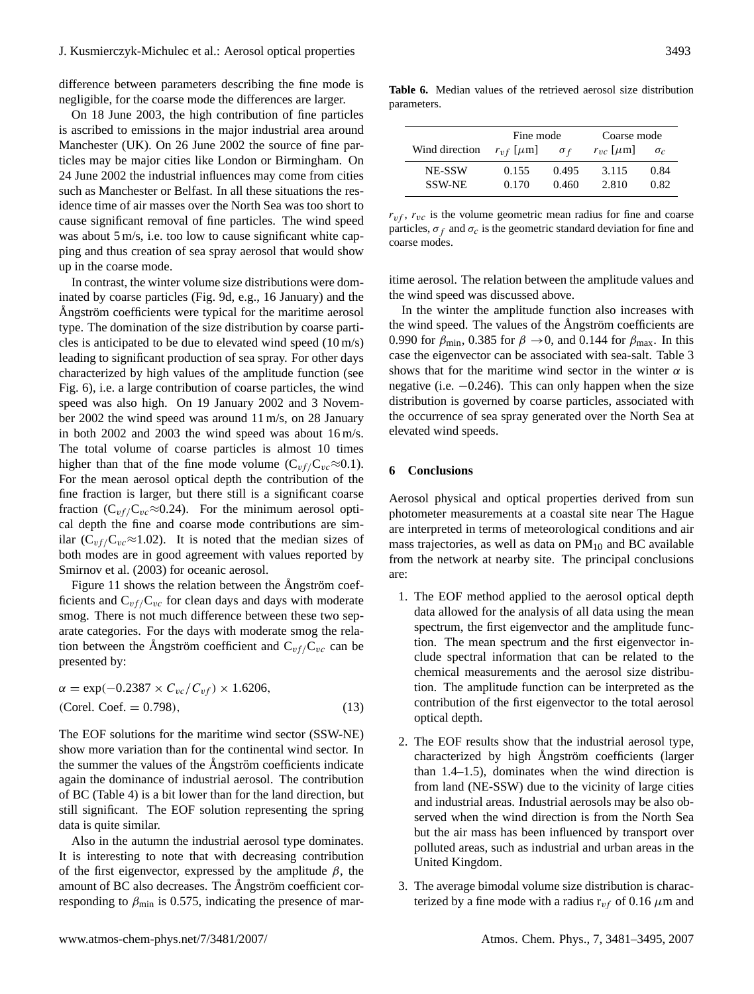difference between parameters describing the fine mode is negligible, for the coarse mode the differences are larger.

On 18 June 2003, the high contribution of fine particles is ascribed to emissions in the major industrial area around Manchester (UK). On 26 June 2002 the source of fine particles may be major cities like London or Birmingham. On 24 June 2002 the industrial influences may come from cities such as Manchester or Belfast. In all these situations the residence time of air masses over the North Sea was too short to cause significant removal of fine particles. The wind speed was about 5 m/s, i.e. too low to cause significant white capping and thus creation of sea spray aerosol that would show up in the coarse mode.

In contrast, the winter volume size distributions were dominated by coarse particles (Fig. 9d, e.g., 16 January) and the Ångström coefficients were typical for the maritime aerosol type. The domination of the size distribution by coarse particles is anticipated to be due to elevated wind speed (10 m/s) leading to significant production of sea spray. For other days characterized by high values of the amplitude function (see Fig. 6), i.e. a large contribution of coarse particles, the wind speed was also high. On 19 January 2002 and 3 November 2002 the wind speed was around 11 m/s, on 28 January in both 2002 and 2003 the wind speed was about 16 m/s. The total volume of coarse particles is almost 10 times higher than that of the fine mode volume ( $C_{v f}/C_{v c} \approx 0.1$ ). For the mean aerosol optical depth the contribution of the fine fraction is larger, but there still is a significant coarse fraction ( $C_{vf}/C_{vc} \approx 0.24$ ). For the minimum aerosol optical depth the fine and coarse mode contributions are similar ( $C_{\nu f}/C_{\nu c} \approx 1.02$ ). It is noted that the median sizes of both modes are in good agreement with values reported by Smirnov et al. (2003) for oceanic aerosol.

Figure 11 shows the relation between the Angström coefficients and  $C_{vf}/C_{vc}$  for clean days and days with moderate smog. There is not much difference between these two separate categories. For the days with moderate smog the relation between the Angström coefficient and  $C_{\nu f}/C_{\nu c}$  can be presented by:

$$
\alpha = \exp(-0.2387 \times C_{vc}/C_{vf}) \times 1.6206,
$$
  
(Corel. Coef. = 0.798), (13)

The EOF solutions for the maritime wind sector (SSW-NE) show more variation than for the continental wind sector. In the summer the values of the Angström coefficients indicate again the dominance of industrial aerosol. The contribution of BC (Table 4) is a bit lower than for the land direction, but still significant. The EOF solution representing the spring data is quite similar.

Also in the autumn the industrial aerosol type dominates. It is interesting to note that with decreasing contribution of the first eigenvector, expressed by the amplitude  $\beta$ , the amount of BC also decreases. The Angström coefficient corresponding to  $\beta_{\text{min}}$  is 0.575, indicating the presence of mar-

**Table 6.** Median values of the retrieved aerosol size distribution parameters.

|                | Fine mode           |            | Coarse mode         |            |  |
|----------------|---------------------|------------|---------------------|------------|--|
| Wind direction | $r_{vf}$ [ $\mu$ m] | $\sigma_f$ | $r_{vc}$ [ $\mu$ m] | $\sigma_c$ |  |
| NE-SSW         | 0.155               | 0.495      | 3.115               | 0.84       |  |
| <b>SSW-NE</b>  | 0.170               | 0.460      | 2.810               | 0.82       |  |

 $r_{vf}$ ,  $r_{vc}$  is the volume geometric mean radius for fine and coarse particles,  $\sigma_f$  and  $\sigma_c$  is the geometric standard deviation for fine and coarse modes.

itime aerosol. The relation between the amplitude values and the wind speed was discussed above.

In the winter the amplitude function also increases with the wind speed. The values of the Angström coefficients are 0.990 for  $\beta_{\text{min}}$ , 0.385 for  $\beta \rightarrow 0$ , and 0.144 for  $\beta_{\text{max}}$ . In this case the eigenvector can be associated with sea-salt. Table 3 shows that for the maritime wind sector in the winter  $\alpha$  is negative (i.e.  $-0.246$ ). This can only happen when the size distribution is governed by coarse particles, associated with the occurrence of sea spray generated over the North Sea at elevated wind speeds.

## **6 Conclusions**

Aerosol physical and optical properties derived from sun photometer measurements at a coastal site near The Hague are interpreted in terms of meteorological conditions and air mass trajectories, as well as data on  $PM_{10}$  and BC available from the network at nearby site. The principal conclusions are:

- 1. The EOF method applied to the aerosol optical depth data allowed for the analysis of all data using the mean spectrum, the first eigenvector and the amplitude function. The mean spectrum and the first eigenvector include spectral information that can be related to the chemical measurements and the aerosol size distribution. The amplitude function can be interpreted as the contribution of the first eigenvector to the total aerosol optical depth.
- 2. The EOF results show that the industrial aerosol type, characterized by high Ångström coefficients (larger than 1.4–1.5), dominates when the wind direction is from land (NE-SSW) due to the vicinity of large cities and industrial areas. Industrial aerosols may be also observed when the wind direction is from the North Sea but the air mass has been influenced by transport over polluted areas, such as industrial and urban areas in the United Kingdom.
- 3. The average bimodal volume size distribution is characterized by a fine mode with a radius  $r_{vf}$  of 0.16  $\mu$ m and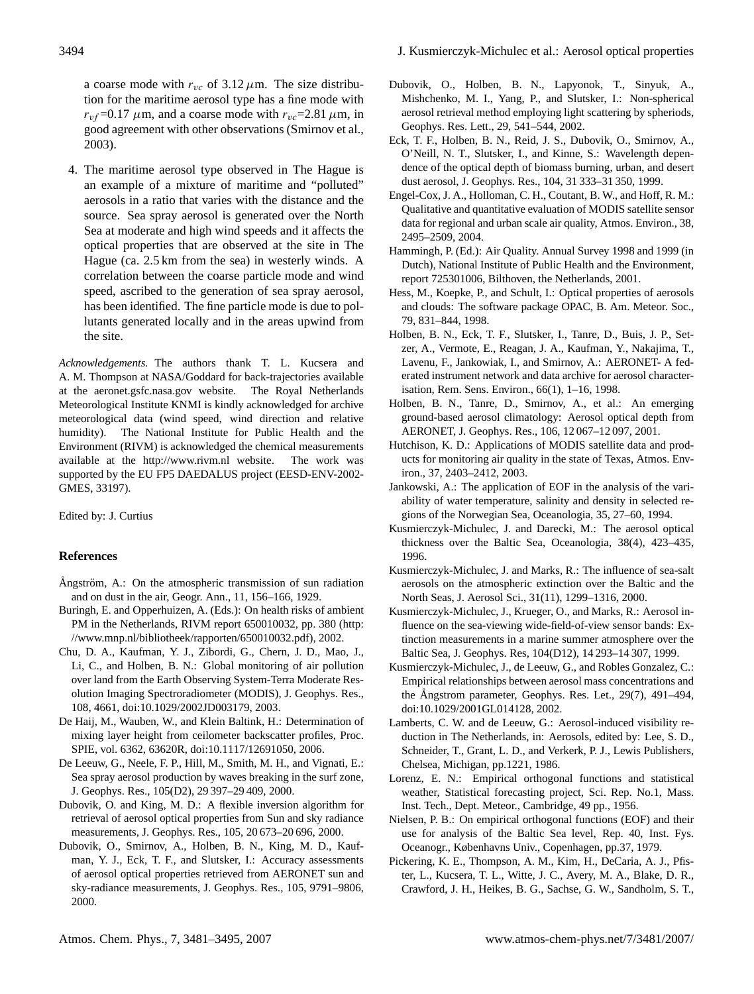a coarse mode with  $r_{vc}$  of 3.12  $\mu$ m. The size distribution for the maritime aerosol type has a fine mode with  $r_{vf}$ =0.17  $\mu$ m, and a coarse mode with  $r_{vc}$ =2.81  $\mu$ m, in good agreement with other observations (Smirnov et al., 2003).

4. The maritime aerosol type observed in The Hague is an example of a mixture of maritime and "polluted" aerosols in a ratio that varies with the distance and the source. Sea spray aerosol is generated over the North Sea at moderate and high wind speeds and it affects the optical properties that are observed at the site in The Hague (ca. 2.5 km from the sea) in westerly winds. A correlation between the coarse particle mode and wind speed, ascribed to the generation of sea spray aerosol, has been identified. The fine particle mode is due to pollutants generated locally and in the areas upwind from the site.

*Acknowledgements.* The authors thank T. L. Kucsera and A. M. Thompson at NASA/Goddard for back-trajectories available at the <aeronet.gsfc.nasa.gov> website. The Royal Netherlands Meteorological Institute KNMI is kindly acknowledged for archive meteorological data (wind speed, wind direction and relative humidity). The National Institute for Public Health and the Environment (RIVM) is acknowledged the chemical measurements available at the <http://www.rivm.nl> website. The work was supported by the EU FP5 DAEDALUS project (EESD-ENV-2002- GMES, 33197).

Edited by: J. Curtius

# **References**

- Ångström, A.: On the atmospheric transmission of sun radiation and on dust in the air, Geogr. Ann., 11, 156–166, 1929.
- Buringh, E. and Opperhuizen, A. (Eds.): On health risks of ambient PM in the Netherlands, RIVM report 650010032, pp. 380 [\(http:](http://www.mnp.nl/bibliotheek/rapporten/650010032.pdf) [//www.mnp.nl/bibliotheek/rapporten/650010032.pdf\)](http://www.mnp.nl/bibliotheek/rapporten/650010032.pdf), 2002.
- Chu, D. A., Kaufman, Y. J., Zibordi, G., Chern, J. D., Mao, J., Li, C., and Holben, B. N.: Global monitoring of air pollution over land from the Earth Observing System-Terra Moderate Resolution Imaging Spectroradiometer (MODIS), J. Geophys. Res., 108, 4661, doi:10.1029/2002JD003179, 2003.
- De Haij, M., Wauben, W., and Klein Baltink, H.: Determination of mixing layer height from ceilometer backscatter profiles, Proc. SPIE, vol. 6362, 63620R, doi:10.1117/12691050, 2006.
- De Leeuw, G., Neele, F. P., Hill, M., Smith, M. H., and Vignati, E.: Sea spray aerosol production by waves breaking in the surf zone, J. Geophys. Res., 105(D2), 29 397–29 409, 2000.
- Dubovik, O. and King, M. D.: A flexible inversion algorithm for retrieval of aerosol optical properties from Sun and sky radiance measurements, J. Geophys. Res., 105, 20 673–20 696, 2000.
- Dubovik, O., Smirnov, A., Holben, B. N., King, M. D., Kaufman, Y. J., Eck, T. F., and Slutsker, I.: Accuracy assessments of aerosol optical properties retrieved from AERONET sun and sky-radiance measurements, J. Geophys. Res., 105, 9791–9806, 2000.
- Dubovik, O., Holben, B. N., Lapyonok, T., Sinyuk, A., Mishchenko, M. I., Yang, P., and Slutsker, I.: Non-spherical aerosol retrieval method employing light scattering by spheriods, Geophys. Res. Lett., 29, 541–544, 2002.
- Eck, T. F., Holben, B. N., Reid, J. S., Dubovik, O., Smirnov, A., O'Neill, N. T., Slutsker, I., and Kinne, S.: Wavelength dependence of the optical depth of biomass burning, urban, and desert dust aerosol, J. Geophys. Res., 104, 31 333–31 350, 1999.
- Engel-Cox, J. A., Holloman, C. H., Coutant, B. W., and Hoff, R. M.: Qualitative and quantitative evaluation of MODIS satellite sensor data for regional and urban scale air quality, Atmos. Environ., 38, 2495–2509, 2004.
- Hammingh, P. (Ed.): Air Quality. Annual Survey 1998 and 1999 (in Dutch), National Institute of Public Health and the Environment, report 725301006, Bilthoven, the Netherlands, 2001.
- Hess, M., Koepke, P., and Schult, I.: Optical properties of aerosols and clouds: The software package OPAC, B. Am. Meteor. Soc., 79, 831–844, 1998.
- Holben, B. N., Eck, T. F., Slutsker, I., Tanre, D., Buis, J. P., Setzer, A., Vermote, E., Reagan, J. A., Kaufman, Y., Nakajima, T., Lavenu, F., Jankowiak, I., and Smirnov, A.: AERONET- A federated instrument network and data archive for aerosol characterisation, Rem. Sens. Environ., 66(1), 1–16, 1998.
- Holben, B. N., Tanre, D., Smirnov, A., et al.: An emerging ground-based aerosol climatology: Aerosol optical depth from AERONET, J. Geophys. Res., 106, 12 067–12 097, 2001.
- Hutchison, K. D.: Applications of MODIS satellite data and products for monitoring air quality in the state of Texas, Atmos. Environ., 37, 2403–2412, 2003.
- Jankowski, A.: The application of EOF in the analysis of the variability of water temperature, salinity and density in selected regions of the Norwegian Sea, Oceanologia, 35, 27–60, 1994.
- Kusmierczyk-Michulec, J. and Darecki, M.: The aerosol optical thickness over the Baltic Sea, Oceanologia, 38(4), 423–435, 1996.
- Kusmierczyk-Michulec, J. and Marks, R.: The influence of sea-salt aerosols on the atmospheric extinction over the Baltic and the North Seas, J. Aerosol Sci., 31(11), 1299–1316, 2000.
- Kusmierczyk-Michulec, J., Krueger, O., and Marks, R.: Aerosol influence on the sea-viewing wide-field-of-view sensor bands: Extinction measurements in a marine summer atmosphere over the Baltic Sea, J. Geophys. Res, 104(D12), 14 293–14 307, 1999.
- Kusmierczyk-Michulec, J., de Leeuw, G., and Robles Gonzalez, C.: Empirical relationships between aerosol mass concentrations and the Angstrom parameter, Geophys. Res. Let.,  $29(7)$ ,  $491-494$ , doi:10.1029/2001GL014128, 2002.
- Lamberts, C. W. and de Leeuw, G.: Aerosol-induced visibility reduction in The Netherlands, in: Aerosols, edited by: Lee, S. D., Schneider, T., Grant, L. D., and Verkerk, P. J., Lewis Publishers, Chelsea, Michigan, pp.1221, 1986.
- Lorenz, E. N.: Empirical orthogonal functions and statistical weather, Statistical forecasting project, Sci. Rep. No.1, Mass. Inst. Tech., Dept. Meteor., Cambridge, 49 pp., 1956.
- Nielsen, P. B.: On empirical orthogonal functions (EOF) and their use for analysis of the Baltic Sea level, Rep. 40, Inst. Fys. Oceanogr., Københavns Univ., Copenhagen, pp.37, 1979.
- Pickering, K. E., Thompson, A. M., Kim, H., DeCaria, A. J., Pfister, L., Kucsera, T. L., Witte, J. C., Avery, M. A., Blake, D. R., Crawford, J. H., Heikes, B. G., Sachse, G. W., Sandholm, S. T.,